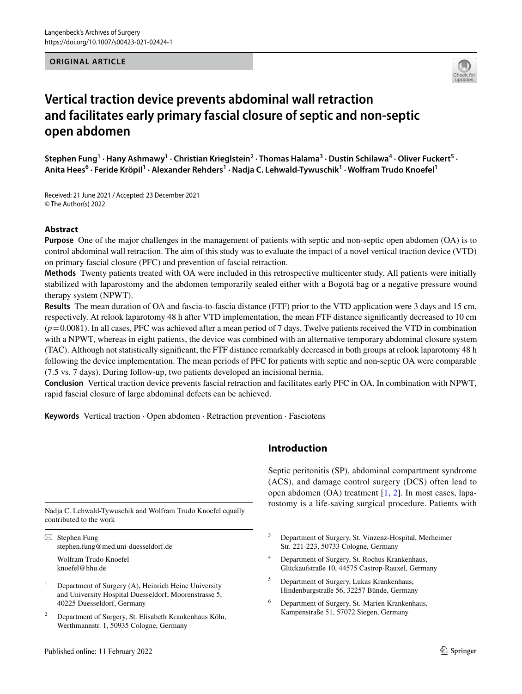#### **ORIGINAL ARTICLE**



# **Vertical traction device prevents abdominal wall retraction and facilitates early primary fascial closure of septic and non‑septic open abdomen**

Stephen Fung<sup>1</sup> · Hany Ashmawy<sup>1</sup> · Christian Krieglstein<sup>2</sup> · Thomas Halama<sup>3</sup> · Dustin Schilawa<sup>4</sup> · Oliver Fuckert<sup>5</sup> · Anita Hees<sup>6</sup> • Feride Kröpil<sup>1</sup> • Alexander Rehders<sup>1</sup> • Nadja C. Lehwald-Tywuschik<sup>1</sup> • Wolfram Trudo Knoefel<sup>1</sup>

Received: 21 June 2021 / Accepted: 23 December 2021 © The Author(s) 2022

### **Abstract**

**Purpose** One of the major challenges in the management of patients with septic and non-septic open abdomen (OA) is to control abdominal wall retraction. The aim of this study was to evaluate the impact of a novel vertical traction device (VTD) on primary fascial closure (PFC) and prevention of fascial retraction.

**Methods** Twenty patients treated with OA were included in this retrospective multicenter study. All patients were initially stabilized with laparostomy and the abdomen temporarily sealed either with a Bogotá bag or a negative pressure wound therapy system (NPWT).

**Results** The mean duration of OA and fascia-to-fascia distance (FTF) prior to the VTD application were 3 days and 15 cm, respectively. At relook laparotomy 48 h after VTD implementation, the mean FTF distance signifcantly decreased to 10 cm  $(p=0.0081)$ . In all cases, PFC was achieved after a mean period of 7 days. Twelve patients received the VTD in combination with a NPWT, whereas in eight patients, the device was combined with an alternative temporary abdominal closure system (TAC). Although not statistically signifcant, the FTF distance remarkably decreased in both groups at relook laparotomy 48 h following the device implementation. The mean periods of PFC for patients with septic and non-septic OA were comparable (7.5 vs. 7 days). During follow-up, two patients developed an incisional hernia.

**Conclusion** Vertical traction device prevents fascial retraction and facilitates early PFC in OA. In combination with NPWT, rapid fascial closure of large abdominal defects can be achieved.

**Keywords** Vertical traction · Open abdomen · Retraction prevention · Fasciotens

contributed to the work

 $\boxtimes$  Stephen Fung stephen.fung@med.uni-duesseldorf.de

Wolfram Trudo Knoefel knoefel@hhu.de

- <sup>1</sup> Department of Surgery (A), Heinrich Heine University and University Hospital Duesseldorf, Moorenstrasse 5, 40225 Duesseldorf, Germany
- <sup>2</sup> Department of Surgery, St. Elisabeth Krankenhaus Köln, Werthmannstr. 1, 50935 Cologne, Germany

### **Introduction**

Septic peritonitis (SP), abdominal compartment syndrome (ACS), and damage control surgery (DCS) often lead to open abdomen (OA) treatment [[1](#page-7-0), [2\]](#page-7-1). In most cases, laparostomy is a life-saving surgical procedure. Patients with Nadja C. Lehwald-Tywuschik and Wolfram Trudo Knoefel equally

- <sup>3</sup> Department of Surgery, St. Vinzenz-Hospital, Merheimer Str. 221-223, 50733 Cologne, Germany
- <sup>4</sup> Department of Surgery, St. Rochus Krankenhaus, Glückaufstraße 10, 44575 Castrop-Rauxel, Germany
- <sup>5</sup> Department of Surgery, Lukas Krankenhaus, Hindenburgstraße 56, 32257 Bünde, Germany
- <sup>6</sup> Department of Surgery, St.-Marien Krankenhaus, Kampenstraße 51, 57072 Siegen, Germany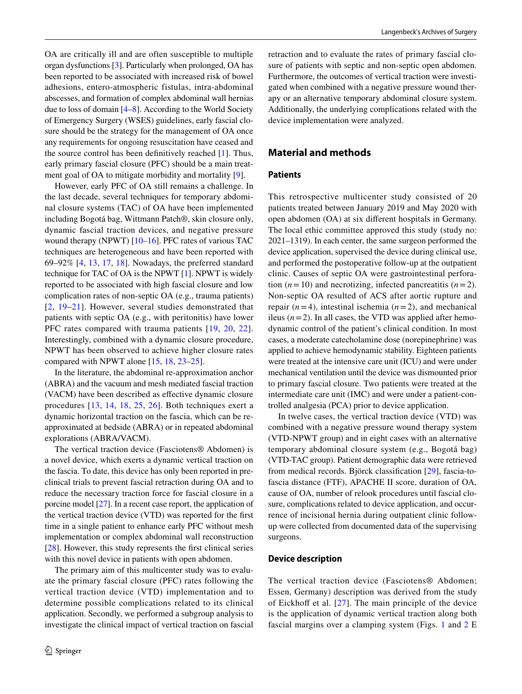OA are critically ill and are often susceptible to multiple organ dysfunctions [\[3\]](#page-7-2). Particularly when prolonged, OA has been reported to be associated with increased risk of bowel adhesions, entero-atmospheric fistulas, intra-abdominal abscesses, and formation of complex abdominal wall hernias due to loss of domain [\[4](#page-7-3)[–8](#page-8-0)]. According to the World Society of Emergency Surgery (WSES) guidelines, early fascial closure should be the strategy for the management of OA once any requirements for ongoing resuscitation have ceased and the source control has been defnitively reached [\[1](#page-7-0)]. Thus, early primary fascial closure (PFC) should be a main treatment goal of OA to mitigate morbidity and mortality [\[9](#page-8-1)].

However, early PFC of OA still remains a challenge. In the last decade, several techniques for temporary abdominal closure systems (TAC) of OA have been implemented including Bogotá bag, Wittmann Patch®, skin closure only, dynamic fascial traction devices, and negative pressure wound therapy (NPWT) [\[10](#page-8-2)[–16](#page-8-3)]. PFC rates of various TAC techniques are heterogeneous and have been reported with 69–92% [\[4](#page-7-3), [13](#page-8-4), [17,](#page-8-5) [18](#page-8-6)]. Nowadays, the preferred standard technique for TAC of OA is the NPWT [\[1\]](#page-7-0). NPWT is widely reported to be associated with high fascial closure and low complication rates of non-septic OA (e.g., trauma patients) [[2,](#page-7-1) [19–](#page-8-7)[21\]](#page-8-8). However, several studies demonstrated that patients with septic OA (e.g., with peritonitis) have lower PFC rates compared with trauma patients  $[19, 20, 22]$  $[19, 20, 22]$  $[19, 20, 22]$  $[19, 20, 22]$  $[19, 20, 22]$  $[19, 20, 22]$  $[19, 20, 22]$ . Interestingly, combined with a dynamic closure procedure, NPWT has been observed to achieve higher closure rates compared with NPWT alone [[15,](#page-8-11) [18,](#page-8-6) [23–](#page-8-12)[25\]](#page-8-13).

In the literature, the abdominal re-approximation anchor (ABRA) and the vacuum and mesh mediated fascial traction (VACM) have been described as efective dynamic closure procedures [[13](#page-8-4), [14](#page-8-14), [18,](#page-8-6) [25](#page-8-13), [26\]](#page-8-15). Both techniques exert a dynamic horizontal traction on the fascia, which can be reapproximated at bedside (ABRA) or in repeated abdominal explorations (ABRA/VACM).

The vertical traction device (Fasciotens® Abdomen) is a novel device, which exerts a dynamic vertical traction on the fascia. To date, this device has only been reported in preclinical trials to prevent fascial retraction during OA and to reduce the necessary traction force for fascial closure in a porcine model [[27\]](#page-8-16). In a recent case report, the application of the vertical traction device (VTD) was reported for the frst time in a single patient to enhance early PFC without mesh implementation or complex abdominal wall reconstruction [\[28](#page-8-17)]. However, this study represents the first clinical series with this novel device in patients with open abdomen.

The primary aim of this multicenter study was to evaluate the primary fascial closure (PFC) rates following the vertical traction device (VTD) implementation and to determine possible complications related to its clinical application. Secondly, we performed a subgroup analysis to investigate the clinical impact of vertical traction on fascial retraction and to evaluate the rates of primary fascial closure of patients with septic and non-septic open abdomen. Furthermore, the outcomes of vertical traction were investigated when combined with a negative pressure wound therapy or an alternative temporary abdominal closure system. Additionally, the underlying complications related with the device implementation were analyzed.

### **Material and methods**

### **Patients**

This retrospective multicenter study consisted of 20 patients treated between January 2019 and May 2020 with open abdomen (OA) at six diferent hospitals in Germany. The local ethic committee approved this study (study no: 2021–1319). In each center, the same surgeon performed the device application, supervised the device during clinical use, and performed the postoperative follow-up at the outpatient clinic. Causes of septic OA were gastrointestinal perforation  $(n=10)$  and necrotizing, infected pancreatitis  $(n=2)$ . Non-septic OA resulted of ACS after aortic rupture and repair  $(n=4)$ , intestinal ischemia  $(n=2)$ , and mechanical ileus  $(n=2)$ . In all cases, the VTD was applied after hemodynamic control of the patient's clinical condition. In most cases, a moderate catecholamine dose (norepinephrine) was applied to achieve hemodynamic stability. Eighteen patients were treated at the intensive care unit (ICU) and were under mechanical ventilation until the device was dismounted prior to primary fascial closure. Two patients were treated at the intermediate care unit (IMC) and were under a patient-controlled analgesia (PCA) prior to device application.

In twelve cases, the vertical traction device (VTD) was combined with a negative pressure wound therapy system (VTD-NPWT group) and in eight cases with an alternative temporary abdominal closure system (e.g., Bogotá bag) (VTD-TAC group). Patient demographic data were retrieved from medical records. Björck classifcation [[29\]](#page-8-18), fascia-tofascia distance (FTF), APACHE II score, duration of OA, cause of OA, number of relook procedures until fascial closure, complications related to device application, and occurrence of incisional hernia during outpatient clinic followup were collected from documented data of the supervising surgeons.

#### **Device description**

The vertical traction device (Fasciotens® Abdomen; Essen, Germany) description was derived from the study of Eickhoff et al.  $[27]$  $[27]$  $[27]$ . The main principle of the device is the application of dynamic vertical traction along both fascial margins over a clamping system (Figs. [1](#page-2-0) and [2](#page-3-0) E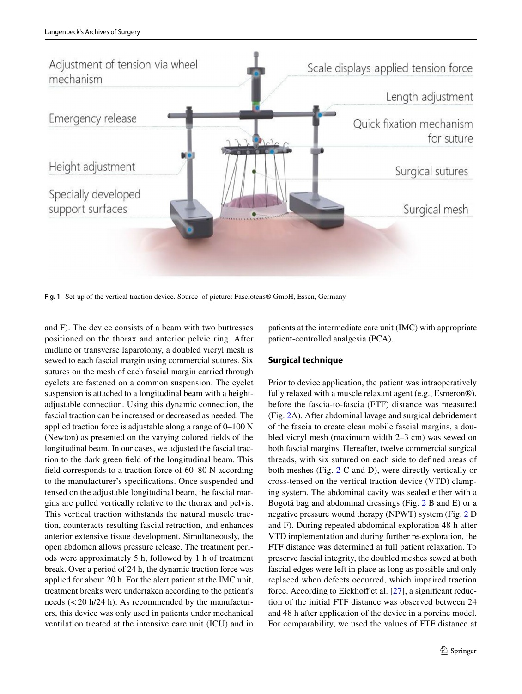

<span id="page-2-0"></span>**Fig. 1** Set-up of the vertical traction device. Source of picture: Fasciotens® GmbH, Essen, Germany

and F). The device consists of a beam with two buttresses positioned on the thorax and anterior pelvic ring. After midline or transverse laparotomy, a doubled vicryl mesh is sewed to each fascial margin using commercial sutures. Six sutures on the mesh of each fascial margin carried through eyelets are fastened on a common suspension. The eyelet suspension is attached to a longitudinal beam with a heightadjustable connection. Using this dynamic connection, the fascial traction can be increased or decreased as needed. The applied traction force is adjustable along a range of 0–100 N (Newton) as presented on the varying colored felds of the longitudinal beam. In our cases, we adjusted the fascial traction to the dark green feld of the longitudinal beam. This feld corresponds to a traction force of 60–80 N according to the manufacturer's specifcations. Once suspended and tensed on the adjustable longitudinal beam, the fascial margins are pulled vertically relative to the thorax and pelvis. This vertical traction withstands the natural muscle traction, counteracts resulting fascial retraction, and enhances anterior extensive tissue development. Simultaneously, the open abdomen allows pressure release. The treatment periods were approximately 5 h, followed by 1 h of treatment break. Over a period of 24 h, the dynamic traction force was applied for about 20 h. For the alert patient at the IMC unit, treatment breaks were undertaken according to the patient's needs  $(<$  20 h/24 h). As recommended by the manufacturers, this device was only used in patients under mechanical ventilation treated at the intensive care unit (ICU) and in

patients at the intermediate care unit (IMC) with appropriate patient-controlled analgesia (PCA).

#### **Surgical technique**

Prior to device application, the patient was intraoperatively fully relaxed with a muscle relaxant agent (e.g., Esmeron®), before the fascia-to-fascia (FTF) distance was measured (Fig. [2A](#page-3-0)). After abdominal lavage and surgical debridement of the fascia to create clean mobile fascial margins, a doubled vicryl mesh (maximum width 2–3 cm) was sewed on both fascial margins. Hereafter, twelve commercial surgical threads, with six sutured on each side to defned areas of both meshes (Fig. [2](#page-3-0) C and D), were directly vertically or cross-tensed on the vertical traction device (VTD) clamping system. The abdominal cavity was sealed either with a Bogotá bag and abdominal dressings (Fig. [2](#page-3-0) B and E) or a negative pressure wound therapy (NPWT) system (Fig. [2](#page-3-0) D and F). During repeated abdominal exploration 48 h after VTD implementation and during further re-exploration, the FTF distance was determined at full patient relaxation. To preserve fascial integrity, the doubled meshes sewed at both fascial edges were left in place as long as possible and only replaced when defects occurred, which impaired traction force. According to Eickhoff et al.  $[27]$  $[27]$ , a significant reduction of the initial FTF distance was observed between 24 and 48 h after application of the device in a porcine model. For comparability, we used the values of FTF distance at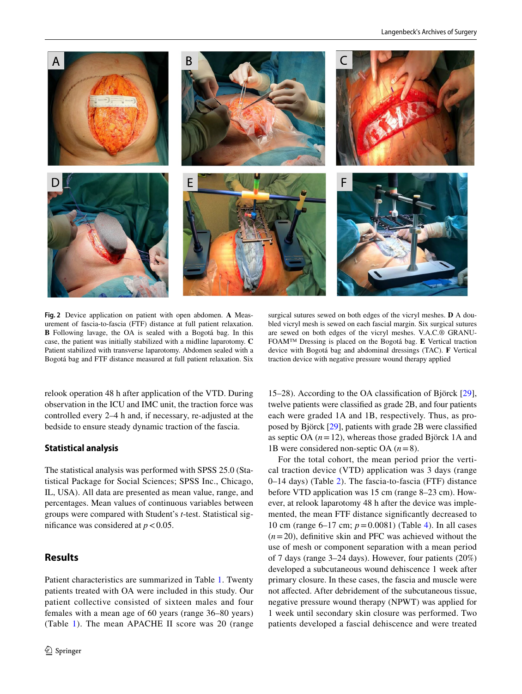

**Fig. 2** Device application on patient with open abdomen. **A** Measurement of fascia-to-fascia (FTF) distance at full patient relaxation. **B** Following lavage, the OA is sealed with a Bogotá bag. In this case, the patient was initially stabilized with a midline laparotomy. **C** Patient stabilized with transverse laparotomy. Abdomen sealed with a Bogotá bag and FTF distance measured at full patient relaxation. Six

surgical sutures sewed on both edges of the vicryl meshes. **D** A doubled vicryl mesh is sewed on each fascial margin. Six surgical sutures are sewed on both edges of the vicryl meshes. V.A.C.® GRANU-FOAM™ Dressing is placed on the Bogotá bag. **E** Vertical traction device with Bogotá bag and abdominal dressings (TAC). **F** Vertical traction device with negative pressure wound therapy applied

<span id="page-3-0"></span>relook operation 48 h after application of the VTD. During observation in the ICU and IMC unit, the traction force was controlled every 2–4 h and, if necessary, re-adjusted at the bedside to ensure steady dynamic traction of the fascia.

### **Statistical analysis**

The statistical analysis was performed with SPSS 25.0 (Statistical Package for Social Sciences; SPSS Inc., Chicago, IL, USA). All data are presented as mean value, range, and percentages. Mean values of continuous variables between groups were compared with Student's *t*-test. Statistical significance was considered at  $p < 0.05$ .

# **Results**

Patient characteristics are summarized in Table [1](#page-4-0). Twenty patients treated with OA were included in this study. Our patient collective consisted of sixteen males and four females with a mean age of 60 years (range 36–80 years) (Table [1\)](#page-4-0). The mean APACHE II score was 20 (range

15–28). According to the OA classifcation of Björck [\[29](#page-8-18)], twelve patients were classifed as grade 2B, and four patients each were graded 1A and 1B, respectively. Thus, as proposed by Björck [\[29](#page-8-18)], patients with grade 2B were classifed as septic OA (*n*=12), whereas those graded Björck 1A and 1B were considered non-septic OA (*n*=8).

For the total cohort, the mean period prior the vertical traction device (VTD) application was 3 days (range 0–14 days) (Table [2](#page-5-0)). The fascia-to-fascia (FTF) distance before VTD application was 15 cm (range 8–23 cm). However, at relook laparotomy 48 h after the device was implemented, the mean FTF distance signifcantly decreased to 10 cm (range 6–17 cm; *p*=0.0081) (Table [4](#page-6-0)). In all cases  $(n=20)$ , definitive skin and PFC was achieved without the use of mesh or component separation with a mean period of 7 days (range 3–24 days). However, four patients (20%) developed a subcutaneous wound dehiscence 1 week after primary closure. In these cases, the fascia and muscle were not afected. After debridement of the subcutaneous tissue, negative pressure wound therapy (NPWT) was applied for 1 week until secondary skin closure was performed. Two patients developed a fascial dehiscence and were treated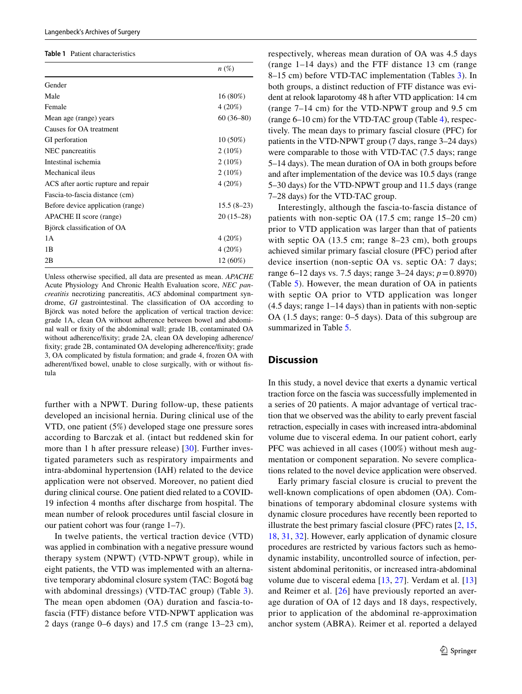#### <span id="page-4-0"></span>**Table 1** Patient characteristics

|                                     | $n\left(\%\right)$ |
|-------------------------------------|--------------------|
| Gender                              |                    |
| Male                                | $16(80\%)$         |
| Female                              | $4(20\%)$          |
| Mean age (range) years              | $60(36-80)$        |
| Causes for OA treatment             |                    |
| GI perforation                      | $10(50\%)$         |
| NEC pancreatitis                    | $2(10\%)$          |
| Intestinal ischemia                 | $2(10\%)$          |
| Mechanical ileus                    | $2(10\%)$          |
| ACS after aortic rupture and repair | 4(20%)             |
| Fascia-to-fascia distance (cm)      |                    |
| Before device application (range)   | $15.5(8-23)$       |
| APACHE II score (range)             | $20(15-28)$        |
| Björck classification of OA         |                    |
| 1A                                  | 4(20%)             |
| 1B                                  | $4(20\%)$          |
| 2B                                  | 12 (60%)           |

Unless otherwise specifed, all data are presented as mean. *APACHE* Acute Physiology And Chronic Health Evaluation score, *NEC pancreatitis* necrotizing pancreatitis, *ACS* abdominal compartment syndrome, *GI* gastrointestinal. The classifcation of OA according to Björck was noted before the application of vertical traction device: grade 1A, clean OA without adherence between bowel and abdominal wall or fxity of the abdominal wall; grade 1B, contaminated OA without adherence/fxity; grade 2A, clean OA developing adherence/ fxity; grade 2B, contaminated OA developing adherence/fxity; grade 3, OA complicated by fstula formation; and grade 4, frozen OA with adherent/fxed bowel, unable to close surgically, with or without fstula

further with a NPWT. During follow-up, these patients developed an incisional hernia. During clinical use of the VTD, one patient (5%) developed stage one pressure sores according to Barczak et al. (intact but reddened skin for more than 1 h after pressure release) [[30](#page-8-19)]. Further investigated parameters such as respiratory impairments and intra-abdominal hypertension (IAH) related to the device application were not observed. Moreover, no patient died during clinical course. One patient died related to a COVID-19 infection 4 months after discharge from hospital. The mean number of relook procedures until fascial closure in our patient cohort was four (range 1–7).

In twelve patients, the vertical traction device (VTD) was applied in combination with a negative pressure wound therapy system (NPWT) (VTD-NPWT group), while in eight patients, the VTD was implemented with an alternative temporary abdominal closure system (TAC: Bogotá bag with abdominal dressings) (VTD-TAC group) (Table [3](#page-5-1)). The mean open abdomen (OA) duration and fascia-tofascia (FTF) distance before VTD-NPWT application was 2 days (range 0–6 days) and 17.5 cm (range 13–23 cm),

respectively, whereas mean duration of OA was 4.5 days (range 1–14 days) and the FTF distance 13 cm (range 8–15 cm) before VTD-TAC implementation (Tables [3](#page-5-1)). In both groups, a distinct reduction of FTF distance was evident at relook laparotomy 48 h after VTD application: 14 cm (range 7–14 cm) for the VTD-NPWT group and 9.5 cm (range 6–10 cm) for the VTD-TAC group (Table [4\)](#page-6-0), respectively. The mean days to primary fascial closure (PFC) for patients in the VTD-NPWT group (7 days, range 3–24 days) were comparable to those with VTD-TAC (7.5 days; range 5–14 days). The mean duration of OA in both groups before and after implementation of the device was 10.5 days (range 5–30 days) for the VTD-NPWT group and 11.5 days (range 7–28 days) for the VTD-TAC group.

Interestingly, although the fascia-to-fascia distance of patients with non-septic OA (17.5 cm; range 15–20 cm) prior to VTD application was larger than that of patients with septic OA (13.5 cm; range 8–23 cm), both groups achieved similar primary fascial closure (PFC) period after device insertion (non-septic OA vs. septic OA: 7 days; range 6–12 days vs. 7.5 days; range 3–24 days; *p*=0.8970) (Table [5](#page-6-1)). However, the mean duration of OA in patients with septic OA prior to VTD application was longer (4.5 days; range 1–14 days) than in patients with non-septic OA (1.5 days; range: 0–5 days). Data of this subgroup are summarized in Table [5.](#page-6-1)

### **Discussion**

In this study, a novel device that exerts a dynamic vertical traction force on the fascia was successfully implemented in a series of 20 patients. A major advantage of vertical traction that we observed was the ability to early prevent fascial retraction, especially in cases with increased intra-abdominal volume due to visceral edema. In our patient cohort, early PFC was achieved in all cases (100%) without mesh augmentation or component separation. No severe complications related to the novel device application were observed.

Early primary fascial closure is crucial to prevent the well-known complications of open abdomen (OA). Combinations of temporary abdominal closure systems with dynamic closure procedures have recently been reported to illustrate the best primary fascial closure (PFC) rates [[2,](#page-7-1) [15,](#page-8-11) [18](#page-8-6), [31,](#page-8-20) [32\]](#page-8-21). However, early application of dynamic closure procedures are restricted by various factors such as hemodynamic instability, uncontrolled source of infection, persistent abdominal peritonitis, or increased intra-abdominal volume due to visceral edema [[13](#page-8-4), [27\]](#page-8-16). Verdam et al. [[13\]](#page-8-4) and Reimer et al. [[26](#page-8-15)] have previously reported an average duration of OA of 12 days and 18 days, respectively, prior to application of the abdominal re-approximation anchor system (ABRA). Reimer et al. reported a delayed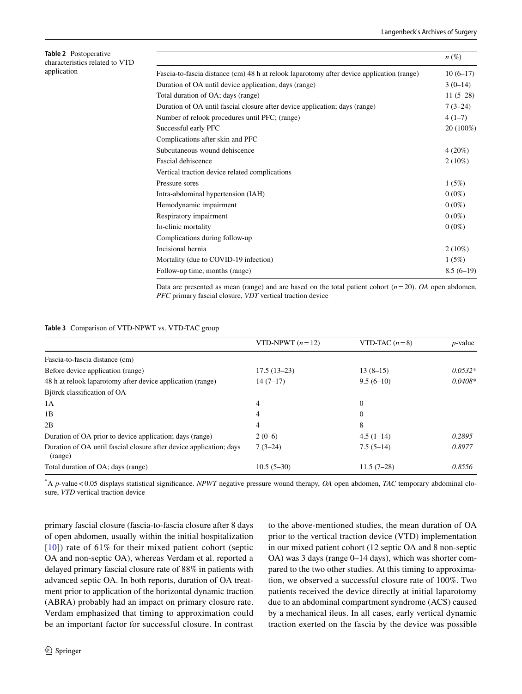<span id="page-5-0"></span>

| <b>Table 2</b> Postoperative<br>characteristics related to VTD<br>application |                                                                                           | $n(\%)$     |
|-------------------------------------------------------------------------------|-------------------------------------------------------------------------------------------|-------------|
|                                                                               | Fascia-to-fascia distance (cm) 48 h at relook laparotomy after device application (range) | $10(6-17)$  |
|                                                                               | Duration of OA until device application; days (range)                                     | $3(0-14)$   |
|                                                                               | Total duration of OA; days (range)                                                        | $11(5-28)$  |
|                                                                               | Duration of OA until fascial closure after device application; days (range)               | $7(3-24)$   |
|                                                                               | Number of relook procedures until PFC; (range)                                            | $4(1-7)$    |
|                                                                               | Successful early PFC                                                                      | 20 (100%)   |
|                                                                               | Complications after skin and PFC                                                          |             |
|                                                                               | Subcutaneous wound dehiscence                                                             | $4(20\%)$   |
|                                                                               | Fascial dehiscence                                                                        | $2(10\%)$   |
|                                                                               | Vertical traction device related complications                                            |             |
|                                                                               | Pressure sores                                                                            | 1(5%)       |
|                                                                               | Intra-abdominal hypertension (IAH)                                                        | $0(0\%)$    |
|                                                                               | Hemodynamic impairment                                                                    | $0(0\%)$    |
|                                                                               | Respiratory impairment                                                                    | $0(0\%)$    |
|                                                                               | In-clinic mortality                                                                       | $0(0\%)$    |
|                                                                               | Complications during follow-up                                                            |             |
|                                                                               | Incisional hernia                                                                         | $2(10\%)$   |
|                                                                               | Mortality (due to COVID-19 infection)                                                     | 1(5%)       |
|                                                                               | Follow-up time, months (range)                                                            | $8.5(6-19)$ |

Data are presented as mean (range) and are based on the total patient cohort  $(n=20)$ . *OA* open abdomen, *PFC* primary fascial closure, *VDT* vertical traction device

#### <span id="page-5-1"></span>**Table 3** Comparison of VTD-NPWT vs. VTD-TAC group

|                                                                                | VTD-NPWT $(n=12)$ | VTD-TAC $(n=8)$ | $p$ -value |
|--------------------------------------------------------------------------------|-------------------|-----------------|------------|
| Fascia-to-fascia distance (cm)                                                 |                   |                 |            |
| Before device application (range)                                              | $17.5(13-23)$     | $13(8-15)$      | $0.0532*$  |
| 48 h at relook laparotomy after device application (range)                     | $14(7-17)$        | $9.5(6-10)$     | $0.0408*$  |
| Björck classification of OA                                                    |                   |                 |            |
| 1A                                                                             | 4                 | $\overline{0}$  |            |
| 1B                                                                             | 4                 | $\Omega$        |            |
| 2B                                                                             | 4                 | 8               |            |
| Duration of OA prior to device application; days (range)                       | $2(0-6)$          | $4.5(1-14)$     | 0.2895     |
| Duration of OA until fascial closure after device application; days<br>(range) | $7(3-24)$         | $7.5(5-14)$     | 0.8977     |
| Total duration of OA; days (range)                                             | $10.5(5-30)$      | $11.5(7-28)$    | 0.8556     |

\* A *p*-value<0.05 displays statistical signifcance. *NPWT* negative pressure wound therapy, *OA* open abdomen, *TAC* temporary abdominal closure, *VTD* vertical traction device

primary fascial closure (fascia-to-fascia closure after 8 days of open abdomen, usually within the initial hospitalization  $[10]$  $[10]$  $[10]$ ) rate of 61% for their mixed patient cohort (septic OA and non-septic OA), whereas Verdam et al. reported a delayed primary fascial closure rate of 88% in patients with advanced septic OA. In both reports, duration of OA treatment prior to application of the horizontal dynamic traction (ABRA) probably had an impact on primary closure rate. Verdam emphasized that timing to approximation could be an important factor for successful closure. In contrast

<sup>2</sup> Springer

to the above-mentioned studies, the mean duration of OA prior to the vertical traction device (VTD) implementation in our mixed patient cohort (12 septic OA and 8 non-septic OA) was 3 days (range 0–14 days), which was shorter compared to the two other studies. At this timing to approximation, we observed a successful closure rate of 100%. Two patients received the device directly at initial laparotomy due to an abdominal compartment syndrome (ACS) caused by a mechanical ileus. In all cases, early vertical dynamic traction exerted on the fascia by the device was possible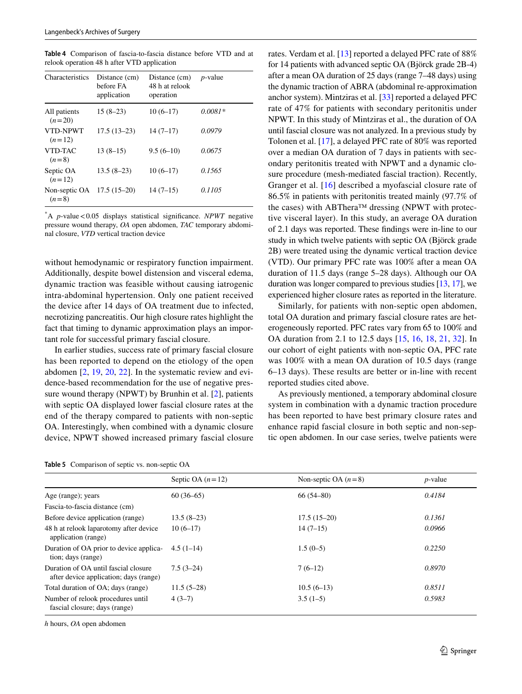<span id="page-6-0"></span>**Table 4** Comparison of fascia-to-fascia distance before VTD and at relook operation 48 h after VTD application

| Characteristics          | Distance (cm)<br>before FA<br>application | Distance (cm)<br>48 h at relook<br>operation | $p$ -value |
|--------------------------|-------------------------------------------|----------------------------------------------|------------|
| All patients<br>$(n=20)$ | $15(8-23)$                                | $10(6-17)$                                   | $0.0081*$  |
| VTD-NPWT<br>$(n=12)$     | $17.5(13-23)$                             | $14(7-17)$                                   | 0.0979     |
| VTD-TAC<br>$(n=8)$       | $13(8-15)$                                | $9.5(6-10)$                                  | 0.0675     |
| Septic OA<br>$(n=12)$    | $13.5(8-23)$                              | $10(6-17)$                                   | 0.1565     |
| Non-septic OA<br>$(n=8)$ | $17.5(15-20)$                             | $14(7-15)$                                   | 0.1105     |

\* A *p*-value<0.05 displays statistical signifcance. *NPWT* negative pressure wound therapy, *OA* open abdomen, *TAC* temporary abdominal closure, *VTD* vertical traction device

without hemodynamic or respiratory function impairment. Additionally, despite bowel distension and visceral edema, dynamic traction was feasible without causing iatrogenic intra-abdominal hypertension. Only one patient received the device after 14 days of OA treatment due to infected, necrotizing pancreatitis. Our high closure rates highlight the fact that timing to dynamic approximation plays an important role for successful primary fascial closure.

In earlier studies, success rate of primary fascial closure has been reported to depend on the etiology of the open abdomen [\[2](#page-7-1), [19,](#page-8-7) [20](#page-8-9), [22\]](#page-8-10). In the systematic review and evidence-based recommendation for the use of negative pressure wound therapy (NPWT) by Brunhin et al. [\[2](#page-7-1)], patients with septic OA displayed lower fascial closure rates at the end of the therapy compared to patients with non-septic OA. Interestingly, when combined with a dynamic closure device, NPWT showed increased primary fascial closure

<span id="page-6-1"></span>

|  |  |  | <b>Table 5</b> Comparison of septic vs. non-septic OA |
|--|--|--|-------------------------------------------------------|
|--|--|--|-------------------------------------------------------|

rates. Verdam et al. [\[13](#page-8-4)] reported a delayed PFC rate of 88% for 14 patients with advanced septic OA (Björck grade 2B-4) after a mean OA duration of 25 days (range 7–48 days) using the dynamic traction of ABRA (abdominal re-approximation anchor system). Mintziras et al. [[33\]](#page-8-22) reported a delayed PFC rate of 47% for patients with secondary peritonitis under NPWT. In this study of Mintziras et al., the duration of OA until fascial closure was not analyzed. In a previous study by Tolonen et al. [[17\]](#page-8-5), a delayed PFC rate of 80% was reported over a median OA duration of 7 days in patients with secondary peritonitis treated with NPWT and a dynamic closure procedure (mesh-mediated fascial traction). Recently, Granger et al. [[16\]](#page-8-3) described a myofascial closure rate of 86.5% in patients with peritonitis treated mainly (97.7% of the cases) with ABThera™ dressing (NPWT with protective visceral layer). In this study, an average OA duration of 2.1 days was reported. These fndings were in-line to our study in which twelve patients with septic OA (Björck grade 2B) were treated using the dynamic vertical traction device (VTD). Our primary PFC rate was 100% after a mean OA duration of 11.5 days (range 5–28 days). Although our OA duration was longer compared to previous studies [\[13,](#page-8-4) [17](#page-8-5)], we experienced higher closure rates as reported in the literature.

Similarly, for patients with non-septic open abdomen, total OA duration and primary fascial closure rates are heterogeneously reported. PFC rates vary from 65 to 100% and OA duration from 2.1 to 12.5 days [\[15,](#page-8-11) [16](#page-8-3), [18,](#page-8-6) [21](#page-8-8), [32\]](#page-8-21). In our cohort of eight patients with non-septic OA, PFC rate was 100% with a mean OA duration of 10.5 days (range 6–13 days). These results are better or in-line with recent reported studies cited above.

As previously mentioned, a temporary abdominal closure system in combination with a dynamic traction procedure has been reported to have best primary closure rates and enhance rapid fascial closure in both septic and non-septic open abdomen. In our case series, twelve patients were

|                                                                                | Septic OA $(n=12)$ | Non-septic OA $(n=8)$ | $p$ -value |
|--------------------------------------------------------------------------------|--------------------|-----------------------|------------|
| Age (range); years                                                             | $60(36-65)$        | $66(54 - 80)$         | 0.4184     |
| Fascia-to-fascia distance (cm)                                                 |                    |                       |            |
| Before device application (range)                                              | $13.5(8-23)$       | $17.5(15-20)$         | 0.1361     |
| 48 h at relook laparotomy after device<br>application (range)                  | $10(6-17)$         | $14(7-15)$            | 0.0966     |
| Duration of OA prior to device applica-<br>tion; days (range)                  | $4.5(1-14)$        | $1.5(0-5)$            | 0.2250     |
| Duration of OA until fascial closure<br>after device application; days (range) | $7.5(3-24)$        | $7(6-12)$             | 0.8970     |
| Total duration of OA; days (range)                                             | $11.5(5-28)$       | $10.5(6-13)$          | 0.8511     |
| Number of relook procedures until<br>fascial closure; days (range)             | $4(3-7)$           | $3.5(1-5)$            | 0.5983     |

*h* hours, *OA* open abdomen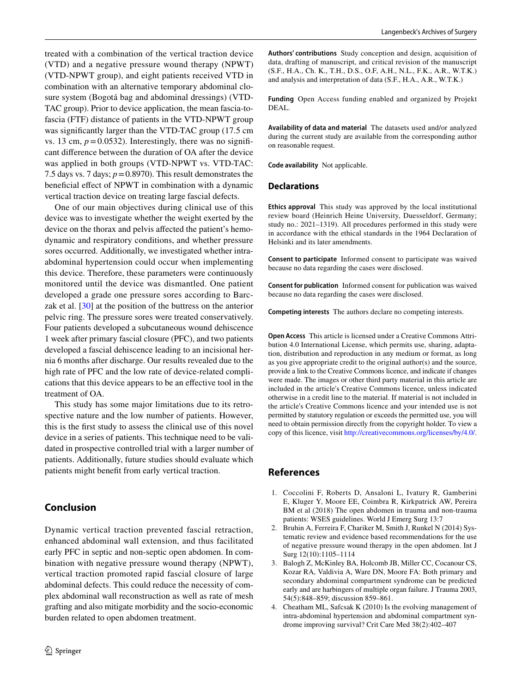treated with a combination of the vertical traction device (VTD) and a negative pressure wound therapy (NPWT) (VTD-NPWT group), and eight patients received VTD in combination with an alternative temporary abdominal closure system (Bogotá bag and abdominal dressings) (VTD-TAC group). Prior to device application, the mean fascia-tofascia (FTF) distance of patients in the VTD-NPWT group was significantly larger than the VTD-TAC group (17.5 cm vs. 13 cm,  $p = 0.0532$ ). Interestingly, there was no significant diference between the duration of OA after the device was applied in both groups (VTD-NPWT vs. VTD-TAC: 7.5 days vs. 7 days;  $p = 0.8970$ ). This result demonstrates the beneficial effect of NPWT in combination with a dynamic vertical traction device on treating large fascial defects.

One of our main objectives during clinical use of this device was to investigate whether the weight exerted by the device on the thorax and pelvis afected the patient's hemodynamic and respiratory conditions, and whether pressure sores occurred. Additionally, we investigated whether intraabdominal hypertension could occur when implementing this device. Therefore, these parameters were continuously monitored until the device was dismantled. One patient developed a grade one pressure sores according to Barczak et al. [\[30](#page-8-19)] at the position of the buttress on the anterior pelvic ring. The pressure sores were treated conservatively. Four patients developed a subcutaneous wound dehiscence 1 week after primary fascial closure (PFC), and two patients developed a fascial dehiscence leading to an incisional hernia 6 months after discharge. Our results revealed due to the high rate of PFC and the low rate of device-related complications that this device appears to be an efective tool in the treatment of OA.

This study has some major limitations due to its retrospective nature and the low number of patients. However, this is the frst study to assess the clinical use of this novel device in a series of patients. This technique need to be validated in prospective controlled trial with a larger number of patients. Additionally, future studies should evaluate which patients might beneft from early vertical traction.

# **Conclusion**

Dynamic vertical traction prevented fascial retraction, enhanced abdominal wall extension, and thus facilitated early PFC in septic and non-septic open abdomen. In combination with negative pressure wound therapy (NPWT), vertical traction promoted rapid fascial closure of large abdominal defects. This could reduce the necessity of complex abdominal wall reconstruction as well as rate of mesh grafting and also mitigate morbidity and the socio-economic burden related to open abdomen treatment.

**Authors' contributions** Study conception and design, acquisition of data, drafting of manuscript, and critical revision of the manuscript (S.F., H.A., Ch. K., T.H., D.S., O.F, A.H., N.L., F.K., A.R., W.T.K.) and analysis and interpretation of data (S.F., H.A., A.R., W.T.K.)

**Funding** Open Access funding enabled and organized by Projekt DEAL.

**Availability of data and material** The datasets used and/or analyzed during the current study are available from the corresponding author on reasonable request.

**Code availability** Not applicable.

#### **Declarations**

**Ethics approval** This study was approved by the local institutional review board (Heinrich Heine University, Duesseldorf, Germany; study no.: 2021–1319). All procedures performed in this study were in accordance with the ethical standards in the 1964 Declaration of Helsinki and its later amendments.

**Consent to participate** Informed consent to participate was waived because no data regarding the cases were disclosed.

**Consent for publication** Informed consent for publication was waived because no data regarding the cases were disclosed.

**Competing interests** The authors declare no competing interests.

**Open Access** This article is licensed under a Creative Commons Attribution 4.0 International License, which permits use, sharing, adaptation, distribution and reproduction in any medium or format, as long as you give appropriate credit to the original author(s) and the source, provide a link to the Creative Commons licence, and indicate if changes were made. The images or other third party material in this article are included in the article's Creative Commons licence, unless indicated otherwise in a credit line to the material. If material is not included in the article's Creative Commons licence and your intended use is not permitted by statutory regulation or exceeds the permitted use, you will need to obtain permission directly from the copyright holder. To view a copy of this licence, visit<http://creativecommons.org/licenses/by/4.0/>.

### **References**

- <span id="page-7-0"></span>1. Coccolini F, Roberts D, Ansaloni L, Ivatury R, Gamberini E, Kluger Y, Moore EE, Coimbra R, Kirkpatrick AW, Pereira BM et al (2018) The open abdomen in trauma and non-trauma patients: WSES guidelines. World J Emerg Surg 13:7
- <span id="page-7-1"></span>2. Bruhin A, Ferreira F, Chariker M, Smith J, Runkel N (2014) Systematic review and evidence based recommendations for the use of negative pressure wound therapy in the open abdomen. Int J Surg 12(10):1105–1114
- <span id="page-7-2"></span>3. Balogh Z, McKinley BA, Holcomb JB, Miller CC, Cocanour CS, Kozar RA, Valdivia A, Ware DN, Moore FA: Both primary and secondary abdominal compartment syndrome can be predicted early and are harbingers of multiple organ failure. J Trauma 2003, 54(5):848–859; discussion 859–861.
- <span id="page-7-3"></span>4. Cheatham ML, Safcsak K (2010) Is the evolving management of intra-abdominal hypertension and abdominal compartment syndrome improving survival? Crit Care Med 38(2):402–407